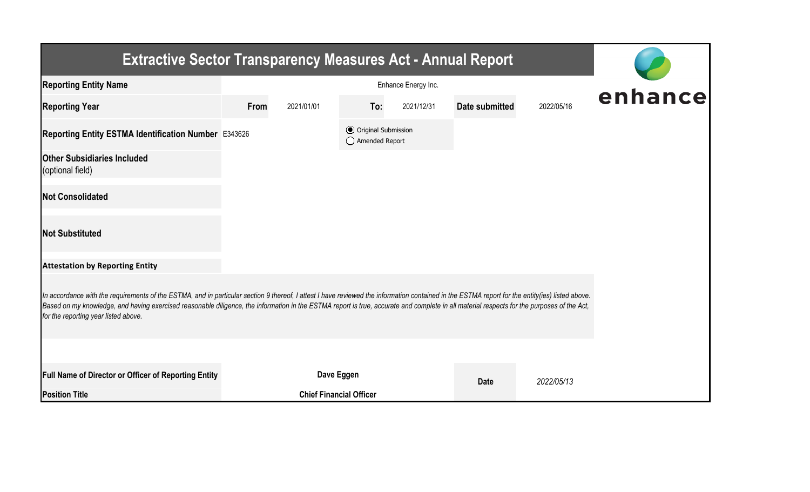| <b>Extractive Sector Transparency Measures Act - Annual Report</b>                                                                                                                                                                                                                                                                                                                                                                    |      |                                |                                                  |            |                |            |  |  |  |  |
|---------------------------------------------------------------------------------------------------------------------------------------------------------------------------------------------------------------------------------------------------------------------------------------------------------------------------------------------------------------------------------------------------------------------------------------|------|--------------------------------|--------------------------------------------------|------------|----------------|------------|--|--|--|--|
| <b>Reporting Entity Name</b>                                                                                                                                                                                                                                                                                                                                                                                                          |      | enhance                        |                                                  |            |                |            |  |  |  |  |
| <b>Reporting Year</b>                                                                                                                                                                                                                                                                                                                                                                                                                 | From | 2021/01/01                     | To:                                              | 2021/12/31 | Date submitted | 2022/05/16 |  |  |  |  |
| Reporting Entity ESTMA Identification Number E343626                                                                                                                                                                                                                                                                                                                                                                                  |      |                                | <b>⊙</b> Original Submission<br>◯ Amended Report |            |                |            |  |  |  |  |
| <b>Other Subsidiaries Included</b><br>(optional field)                                                                                                                                                                                                                                                                                                                                                                                |      |                                |                                                  |            |                |            |  |  |  |  |
| <b>Not Consolidated</b>                                                                                                                                                                                                                                                                                                                                                                                                               |      |                                |                                                  |            |                |            |  |  |  |  |
| <b>Not Substituted</b>                                                                                                                                                                                                                                                                                                                                                                                                                |      |                                |                                                  |            |                |            |  |  |  |  |
| <b>Attestation by Reporting Entity</b>                                                                                                                                                                                                                                                                                                                                                                                                |      |                                |                                                  |            |                |            |  |  |  |  |
| In accordance with the requirements of the ESTMA, and in particular section 9 thereof, I attest I have reviewed the information contained in the ESTMA report for the entity(ies) listed above.<br>Based on my knowledge, and having exercised reasonable diligence, the information in the ESTMA report is true, accurate and complete in all material respects for the purposes of the Act,<br>for the reporting year listed above. |      |                                |                                                  |            |                |            |  |  |  |  |
|                                                                                                                                                                                                                                                                                                                                                                                                                                       |      |                                |                                                  |            |                |            |  |  |  |  |
| Full Name of Director or Officer of Reporting Entity                                                                                                                                                                                                                                                                                                                                                                                  |      | Dave Eggen                     |                                                  |            | <b>Date</b>    | 2022/05/13 |  |  |  |  |
| <b>Position Title</b>                                                                                                                                                                                                                                                                                                                                                                                                                 |      | <b>Chief Financial Officer</b> |                                                  |            |                |            |  |  |  |  |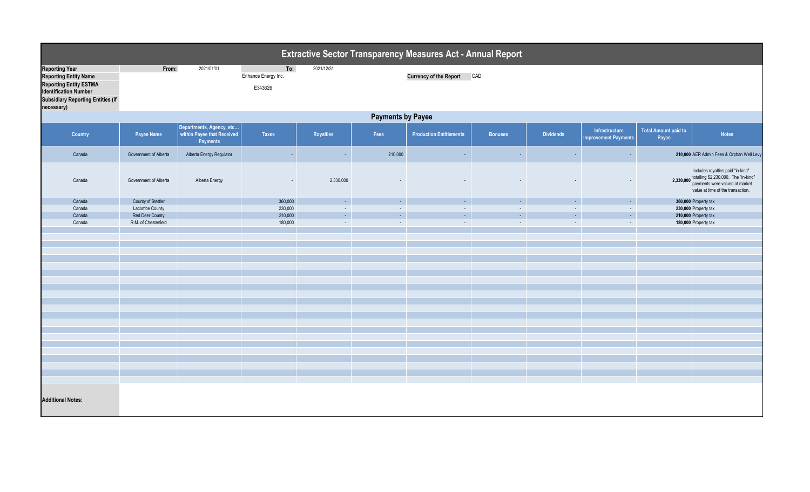|                                                                                                                                                                                  | <b>Extractive Sector Transparency Measures Act - Annual Report</b> |                                                                    |                                       |                          |         |                                |                          |                              |                                               |                                      |                                                                                                                                                            |  |  |
|----------------------------------------------------------------------------------------------------------------------------------------------------------------------------------|--------------------------------------------------------------------|--------------------------------------------------------------------|---------------------------------------|--------------------------|---------|--------------------------------|--------------------------|------------------------------|-----------------------------------------------|--------------------------------------|------------------------------------------------------------------------------------------------------------------------------------------------------------|--|--|
| <b>Reporting Year</b><br><b>Reporting Entity Name</b><br><b>Reporting Entity ESTMA</b><br><b>Identification Number</b><br><b>Subsidiary Reporting Entities (if</b><br>necessary) | From:                                                              | 2021/01/01                                                         | To:<br>Enhance Energy Inc.<br>E343626 | 2021/12/31               |         | <b>Currency of the Report</b>  | CAD                      |                              |                                               |                                      |                                                                                                                                                            |  |  |
|                                                                                                                                                                                  | <b>Payments by Payee</b>                                           |                                                                    |                                       |                          |         |                                |                          |                              |                                               |                                      |                                                                                                                                                            |  |  |
| Country                                                                                                                                                                          | Payee Name                                                         | Departments, Agency, etc<br>within Payee that Received<br>Payments | <b>Taxes</b>                          | Royalties                | Fees    | <b>Production Entitlements</b> | <b>Bonuses</b>           | <b>Dividends</b>             | Infrastructure<br><b>Improvement Payments</b> | <b>Total Amount paid to</b><br>Payee | <b>Notes</b>                                                                                                                                               |  |  |
| Canada                                                                                                                                                                           | Government of Alberta                                              | Alberta Energy Regulator                                           | $\sim$                                | $\overline{\phantom{a}}$ | 210,000 | $\sim$                         | $\sim$                   | $\sim$                       | $\sim$                                        |                                      | 210,000 AER Admin Fees & Orphan Well Levy                                                                                                                  |  |  |
| Canada                                                                                                                                                                           | Government of Alberta                                              | Alberta Energy                                                     | $\overline{\phantom{a}}$              | 2,330,000                |         |                                |                          |                              |                                               |                                      | Includes royalties paid "in-kind"<br>2,330,000 totalling \$2,230,000. The "in-kind"<br>payments were valued at market<br>value at time of the transaction. |  |  |
| Canada                                                                                                                                                                           | County of Stettler                                                 |                                                                    | 360,000                               | $\sim$                   | $\sim$  | $\omega_{\rm{eff}}$            | $\omega_{\rm{eff}}$      | $\mathcal{L}_{\mathrm{eff}}$ | $\sim$                                        |                                      | 360,000 Property tax                                                                                                                                       |  |  |
| Canada                                                                                                                                                                           | Lacombe County                                                     |                                                                    | 230,000                               | $\sim$                   | $\sim$  | $\sim$                         | $\sim$                   | $\sim$                       | $\sim$                                        |                                      | 230,000 Property tax                                                                                                                                       |  |  |
| Canada                                                                                                                                                                           | <b>Red Deer County</b>                                             |                                                                    | 210,000                               | ÷.                       | ¥.      | $\omega_{\rm c}$               | $\omega$                 | $\omega_{\rm{eff}}$          | $\sim$                                        |                                      | 210,000 Property tax                                                                                                                                       |  |  |
| Canada                                                                                                                                                                           | R.M. of Chesterfield                                               |                                                                    | 180,000                               | $\overline{\phantom{a}}$ | $\sim$  | $\sim$                         | $\overline{\phantom{a}}$ | $\omega$                     | $\sim$                                        |                                      | 180,000 Property tax                                                                                                                                       |  |  |
|                                                                                                                                                                                  |                                                                    |                                                                    |                                       |                          |         |                                |                          |                              |                                               |                                      |                                                                                                                                                            |  |  |
|                                                                                                                                                                                  |                                                                    |                                                                    |                                       |                          |         |                                |                          |                              |                                               |                                      |                                                                                                                                                            |  |  |
|                                                                                                                                                                                  |                                                                    |                                                                    |                                       |                          |         |                                |                          |                              |                                               |                                      |                                                                                                                                                            |  |  |
|                                                                                                                                                                                  |                                                                    |                                                                    |                                       |                          |         |                                |                          |                              |                                               |                                      |                                                                                                                                                            |  |  |
|                                                                                                                                                                                  |                                                                    |                                                                    |                                       |                          |         |                                |                          |                              |                                               |                                      |                                                                                                                                                            |  |  |
|                                                                                                                                                                                  |                                                                    |                                                                    |                                       |                          |         |                                |                          |                              |                                               |                                      |                                                                                                                                                            |  |  |
|                                                                                                                                                                                  |                                                                    |                                                                    |                                       |                          |         |                                |                          |                              |                                               |                                      |                                                                                                                                                            |  |  |
|                                                                                                                                                                                  |                                                                    |                                                                    |                                       |                          |         |                                |                          |                              |                                               |                                      |                                                                                                                                                            |  |  |
|                                                                                                                                                                                  |                                                                    |                                                                    |                                       |                          |         |                                |                          |                              |                                               |                                      |                                                                                                                                                            |  |  |
|                                                                                                                                                                                  |                                                                    |                                                                    |                                       |                          |         |                                |                          |                              |                                               |                                      |                                                                                                                                                            |  |  |
|                                                                                                                                                                                  |                                                                    |                                                                    |                                       |                          |         |                                |                          |                              |                                               |                                      |                                                                                                                                                            |  |  |
|                                                                                                                                                                                  |                                                                    |                                                                    |                                       |                          |         |                                |                          |                              |                                               |                                      |                                                                                                                                                            |  |  |
|                                                                                                                                                                                  |                                                                    |                                                                    |                                       |                          |         |                                |                          |                              |                                               |                                      |                                                                                                                                                            |  |  |
|                                                                                                                                                                                  |                                                                    |                                                                    |                                       |                          |         |                                |                          |                              |                                               |                                      |                                                                                                                                                            |  |  |
|                                                                                                                                                                                  |                                                                    |                                                                    |                                       |                          |         |                                |                          |                              |                                               |                                      |                                                                                                                                                            |  |  |
|                                                                                                                                                                                  |                                                                    |                                                                    |                                       |                          |         |                                |                          |                              |                                               |                                      |                                                                                                                                                            |  |  |
|                                                                                                                                                                                  |                                                                    |                                                                    |                                       |                          |         |                                |                          |                              |                                               |                                      |                                                                                                                                                            |  |  |
|                                                                                                                                                                                  |                                                                    |                                                                    |                                       |                          |         |                                |                          |                              |                                               |                                      |                                                                                                                                                            |  |  |
| <b>Additional Notes:</b>                                                                                                                                                         |                                                                    |                                                                    |                                       |                          |         |                                |                          |                              |                                               |                                      |                                                                                                                                                            |  |  |